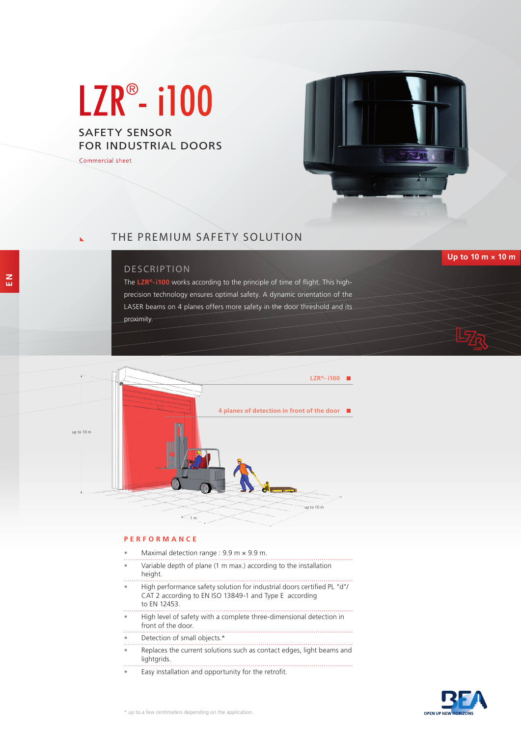# LZR<sup>®</sup>- i100

SAFETY SENSOR FOR INDUSTRIAL DOORS

Commercial sheet



# THE PREMIUM SAFETY SOLUTION

## DESCRIPTION

The **LZR®-i100** works according to the principle of time of flight. This highprecision technology ensures optimal safety. A dynamic orientation of the LASER beams on 4 planes offers more safety in the door threshold and its

proximity.



#### **PERFORMANCE**

- Maximal detection range : 9.9 m × 9.9 m.
- Variable depth of plane (1 m max.) according to the installation height.
- High performance safety solution for industrial doors certified PL "d"/ CAT 2 according to EN ISO 13849-1 and Type E according to EN 12453.
- High level of safety with a complete three-dimensional detection in front of the door.
- Detection of small objects.\*
- Replaces the current solutions such as contact edges, light beams and lightgrids.
- Easy installation and opportunity for the retrofit.



**Up to 10 m × 10 m**

**E N**